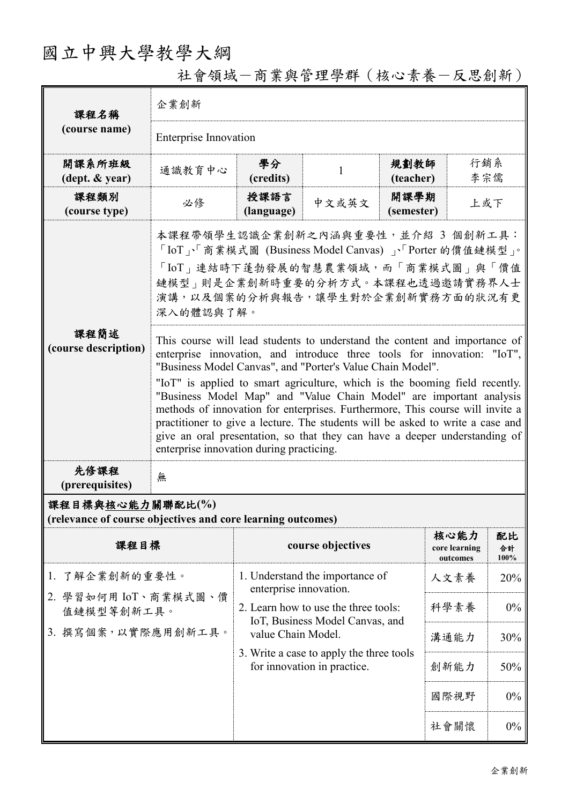# 國立中興大學教學大綱

社會領域-商業與管理學群(核心素養-反思創新)

| 課程名稱<br>(course name)                                                           | 企業創新                                                                                                                                                                                                                                                                                                                                                                                                                                                                                                                                                                                                                                                                   |                                                                                               |                                                                         |                    |                                   |                     |  |
|---------------------------------------------------------------------------------|------------------------------------------------------------------------------------------------------------------------------------------------------------------------------------------------------------------------------------------------------------------------------------------------------------------------------------------------------------------------------------------------------------------------------------------------------------------------------------------------------------------------------------------------------------------------------------------------------------------------------------------------------------------------|-----------------------------------------------------------------------------------------------|-------------------------------------------------------------------------|--------------------|-----------------------------------|---------------------|--|
|                                                                                 | <b>Enterprise Innovation</b>                                                                                                                                                                                                                                                                                                                                                                                                                                                                                                                                                                                                                                           |                                                                                               |                                                                         |                    |                                   |                     |  |
| 開課系所班級<br>$(\text{dept.} \& \text{ year})$                                      | 通識教育中心                                                                                                                                                                                                                                                                                                                                                                                                                                                                                                                                                                                                                                                                 | 學分<br>(credits)                                                                               | 1                                                                       | 規劃教師<br>(teacher)  | 行銷系<br>李宗儒                        |                     |  |
| 課程類別<br>(course type)                                                           | 必修                                                                                                                                                                                                                                                                                                                                                                                                                                                                                                                                                                                                                                                                     | 授課語言<br>(language)                                                                            | 中文或英文                                                                   | 開課學期<br>(semester) | 上或下                               |                     |  |
|                                                                                 | 本課程帶領學生認識企業創新之內涵與重要性,並介紹 3 個創新工具:<br>「IoT」、「商業模式圖 (Business Model Canvas)」、「Porter 的價值鏈模型」。<br>「IoT」連結時下蓬勃發展的智慧農業領域,而「商業模式圖」與「價值<br>鏈模型」則是企業創新時重要的分析方式。本課程也透過邀請實務界人士<br>演講,以及個案的分析與報告,讓學生對於企業創新實務方面的狀況有更<br>深入的體認與了解。                                                                                                                                                                                                                                                                                                                                                                                                                                                  |                                                                                               |                                                                         |                    |                                   |                     |  |
| 課程簡述<br>(course description)                                                    | This course will lead students to understand the content and importance of<br>enterprise innovation, and introduce three tools for innovation: "IoT",<br>"Business Model Canvas", and "Porter's Value Chain Model".<br>"IoT" is applied to smart agriculture, which is the booming field recently.<br>"Business Model Map" and "Value Chain Model" are important analysis<br>methods of innovation for enterprises. Furthermore, This course will invite a<br>practitioner to give a lecture. The students will be asked to write a case and<br>give an oral presentation, so that they can have a deeper understanding of<br>enterprise innovation during practicing. |                                                                                               |                                                                         |                    |                                   |                     |  |
| 先修課程<br>(prerequisites)                                                         | 無                                                                                                                                                                                                                                                                                                                                                                                                                                                                                                                                                                                                                                                                      |                                                                                               |                                                                         |                    |                                   |                     |  |
| 課程目標與核心能力關聯配比(%)<br>(relevance of course objectives and core learning outcomes) |                                                                                                                                                                                                                                                                                                                                                                                                                                                                                                                                                                                                                                                                        |                                                                                               |                                                                         |                    |                                   |                     |  |
| 課程目標                                                                            |                                                                                                                                                                                                                                                                                                                                                                                                                                                                                                                                                                                                                                                                        |                                                                                               | course objectives                                                       |                    | 核心能力<br>core learning<br>outcomes | 配比<br>合計<br>$100\%$ |  |
| 了解企業創新的重要性。<br>1.                                                               |                                                                                                                                                                                                                                                                                                                                                                                                                                                                                                                                                                                                                                                                        | 1. Understand the importance of<br>enterprise innovation.                                     |                                                                         |                    | 人文素養                              | 20%                 |  |
|                                                                                 | 2. 學習如何用 IoT、商業模式圖、價<br>值鏈模型等創新工具。                                                                                                                                                                                                                                                                                                                                                                                                                                                                                                                                                                                                                                     |                                                                                               | 2. Learn how to use the three tools:<br>IoT, Business Model Canvas, and |                    |                                   | $0\%$               |  |
| 3. 撰寫個案,以實際應用創新工具。                                                              |                                                                                                                                                                                                                                                                                                                                                                                                                                                                                                                                                                                                                                                                        | value Chain Model.<br>3. Write a case to apply the three tools<br>for innovation in practice. |                                                                         |                    | 溝通能力                              | 30%                 |  |
|                                                                                 |                                                                                                                                                                                                                                                                                                                                                                                                                                                                                                                                                                                                                                                                        |                                                                                               |                                                                         |                    | 創新能力                              | 50%                 |  |
|                                                                                 |                                                                                                                                                                                                                                                                                                                                                                                                                                                                                                                                                                                                                                                                        |                                                                                               |                                                                         |                    | 國際視野                              | 0%                  |  |
|                                                                                 |                                                                                                                                                                                                                                                                                                                                                                                                                                                                                                                                                                                                                                                                        |                                                                                               |                                                                         |                    | 社會關懷                              | $0\%$               |  |